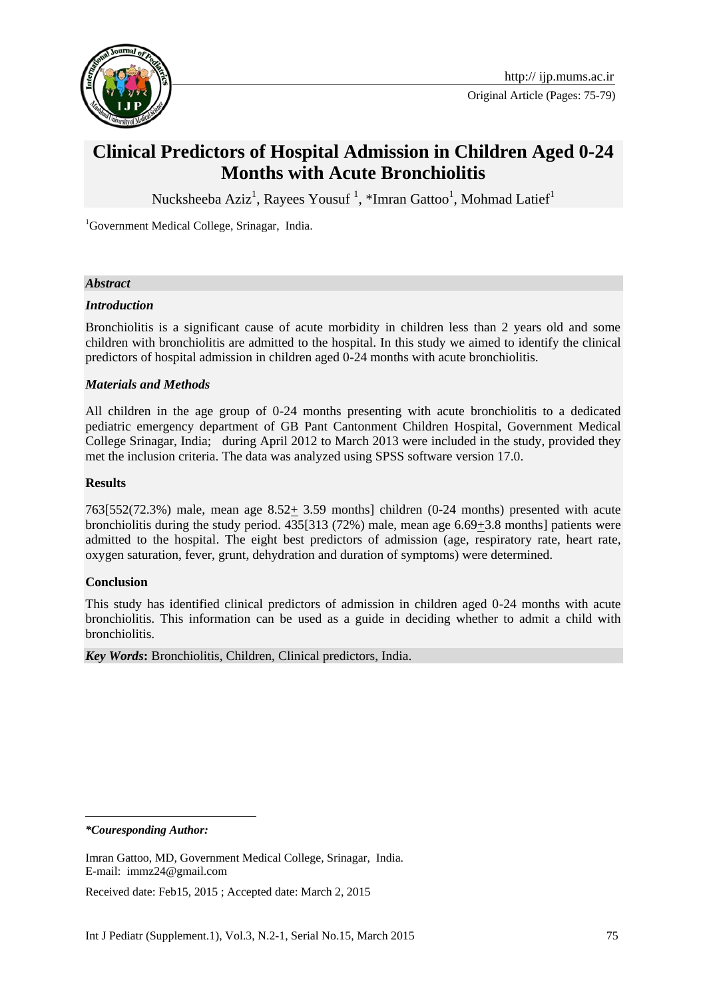

Original Article (Pages: 75-79)

# **Clinical Predictors of Hospital Admission in Children Aged 0-24 Months with Acute Bronchiolitis**

[Nucksheeba Aziz](http://ijp.mums.ac.ir/?_action=article&au=38265&_au=Nucksheeba++Aziz)<sup>1</sup>, [Rayees Yousuf](http://ijp.mums.ac.ir/?_action=article&au=38357&_au=Rayees++Yousuf)<sup>1</sup>, [\\*Imran Gattoo](http://ijp.mums.ac.ir/?_action=article&au=37867&_au=Imran++Gattoo)<sup>1</sup>, [Mohmad Latief](http://ijp.mums.ac.ir/?_action=article&au=38359&_au=Mohmad++Latief)<sup>1</sup>

<sup>1</sup>Government Medical College, Srinagar, India.

## *Abstract*

## *Introduction*

Bronchiolitis is a significant cause of acute morbidity in children less than 2 years old and some children with bronchiolitis are admitted to the hospital. In this study we aimed to identify the clinical predictors of hospital admission in children aged 0-24 months with acute bronchiolitis.

## *Materials and Methods*

All children in the age group of 0-24 months presenting with acute bronchiolitis to a dedicated pediatric emergency department of GB Pant Cantonment Children Hospital, Government Medical College Srinagar, India; during April 2012 to March 2013 were included in the study, provided they met the inclusion criteria. The data was analyzed using SPSS software version 17.0.

## **Results**

763[552(72.3%) male, mean age  $8.52 \pm 3.59$  months] children (0-24 months) presented with acute bronchiolitis during the study period. 435[313 (72%) male, mean age 6.69+3.8 months] patients were admitted to the hospital. The eight best predictors of admission (age, respiratory rate, heart rate, oxygen saturation, fever, grunt, dehydration and duration of symptoms) were determined.

#### **Conclusion**

This study has identified clinical predictors of admission in children aged 0-24 months with acute bronchiolitis. This information can be used as a guide in deciding whether to admit a child with bronchiolitis.

*Key Words***:** Bronchiolitis, Children, Clinical predictors, India.

*\*Couresponding Author:*

-

Received date: Feb15, 2015 ; Accepted date: March 2, 2015

Imran Gattoo, MD, Government Medical College, Srinagar, India. E-mail: [immz24@gmail.com](https://mail.mums.ac.ir/owa/redir.aspx?C=TYP6Fw0je0Cw_P7hSLDb9IC_zAV0M9JI5esT70lPinXC1F4u7VPcXvGBvV0ytw3sfmHpUTImU08.&URL=mailto%3aimmz24%40gmail.com)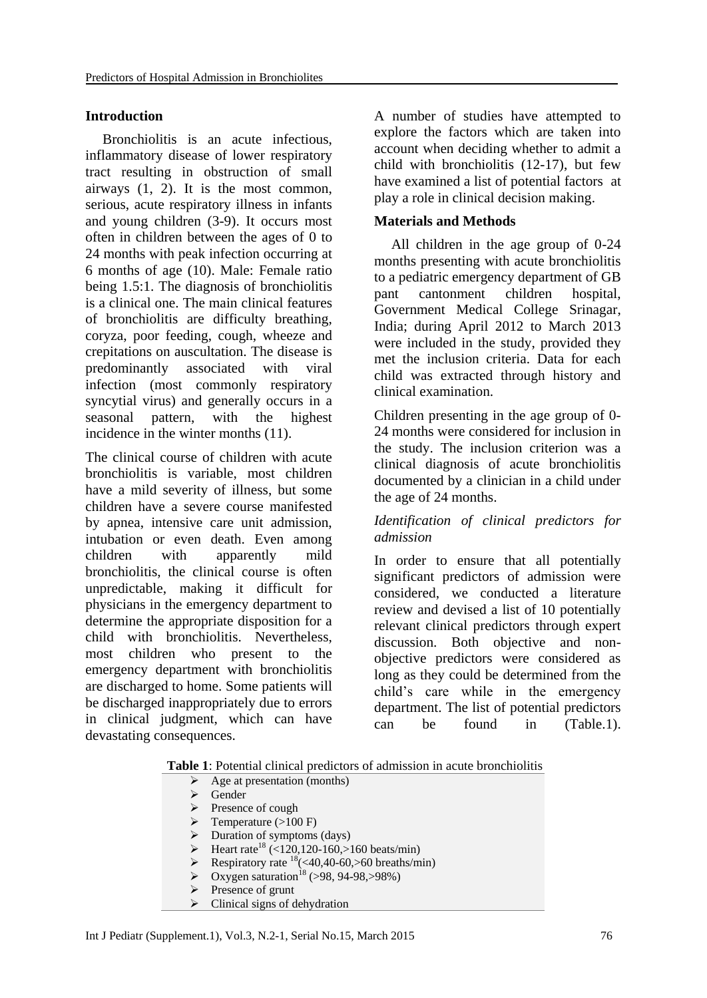## **Introduction**

Bronchiolitis is an acute infectious, inflammatory disease of lower respiratory tract resulting in obstruction of small airways (1, 2). It is the most common, serious, acute respiratory illness in infants and young children (3-9). It occurs most often in children between the ages of 0 to 24 months with peak infection occurring at 6 months of age (10). Male: Female ratio being 1.5:1. The diagnosis of bronchiolitis is a clinical one. The main clinical features of bronchiolitis are difficulty breathing, coryza, poor feeding, cough, wheeze and crepitations on auscultation. The disease is predominantly associated with viral infection (most commonly respiratory syncytial virus) and generally occurs in a seasonal pattern, with the highest incidence in the winter months (11).

The clinical course of children with acute bronchiolitis is variable, most children have a mild severity of illness, but some children have a severe course manifested by apnea, intensive care unit admission, intubation or even death. Even among children with apparently mild bronchiolitis, the clinical course is often unpredictable, making it difficult for physicians in the emergency department to determine the appropriate disposition for a child with bronchiolitis. Nevertheless, most children who present to the emergency department with bronchiolitis are discharged to home. Some patients will be discharged inappropriately due to errors in clinical judgment, which can have devastating consequences.

A number of studies have attempted to explore the factors which are taken into account when deciding whether to admit a child with bronchiolitis (12-17), but few have examined a list of potential factors at play a role in clinical decision making.

# **Materials and Methods**

All children in the age group of 0-24 months presenting with acute bronchiolitis to a pediatric emergency department of GB pant cantonment children hospital, Government Medical College Srinagar, India; during April 2012 to March 2013 were included in the study, provided they met the inclusion criteria. Data for each child was extracted through history and clinical examination.

Children presenting in the age group of 0- 24 months were considered for inclusion in the study. The inclusion criterion was a clinical diagnosis of acute bronchiolitis documented by a clinician in a child under the age of 24 months.

# *Identification of clinical predictors for admission*

In order to ensure that all potentially significant predictors of admission were considered, we conducted a literature review and devised a list of 10 potentially relevant clinical predictors through expert discussion. Both objective and nonobjective predictors were considered as long as they could be determined from the child's care while in the emergency department. The list of potential predictors can be found in (Table.1).

**Table 1**: Potential clinical predictors of admission in acute bronchiolitis

- $\triangleright$  Age at presentation (months)
- $\triangleright$  Gender
- $\triangleright$  Presence of cough
- $\triangleright$  Temperature (>100 F)
- Duration of symptoms (days)
- Heart rate<sup>18</sup> (<120,120-160,>160 beats/min)
- Respiratory rate <sup>18</sup>(<40,40-60,>60 breaths/min)
- Oxygen saturation<sup>18</sup> (>98, 94-98,>98%)
- Presence of grunt
- Clinical signs of dehydration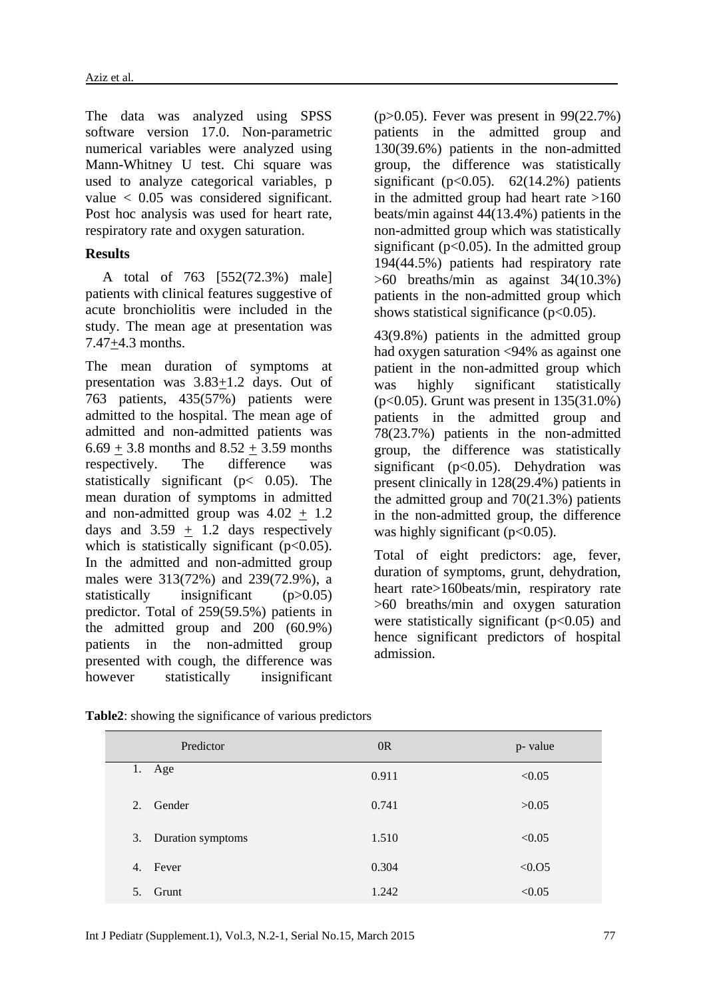The data was analyzed using SPSS software version 17.0. Non-parametric numerical variables were analyzed using Mann-Whitney U test. Chi square was used to analyze categorical variables, p value < 0.05 was considered significant. Post hoc analysis was used for heart rate, respiratory rate and oxygen saturation.

## **Results**

A total of 763 [552(72.3%) male] patients with clinical features suggestive of acute bronchiolitis were included in the study. The mean age at presentation was 7.47+4.3 months.

The mean duration of symptoms at presentation was 3.83+1.2 days. Out of 763 patients, 435(57%) patients were admitted to the hospital. The mean age of admitted and non-admitted patients was  $6.69 + 3.8$  months and  $8.52 + 3.59$  months respectively. The difference was statistically significant ( $p < 0.05$ ). The mean duration of symptoms in admitted and non-admitted group was  $4.02 + 1.2$ days and  $3.59 + 1.2$  days respectively which is statistically significant  $(p<0.05)$ . In the admitted and non-admitted group males were 313(72%) and 239(72.9%), a statistically insignificant (p>0.05) predictor. Total of 259(59.5%) patients in the admitted group and 200 (60.9%) patients in the non-admitted group presented with cough, the difference was however statistically insignificant

(p>0.05). Fever was present in 99(22.7%) patients in the admitted group and 130(39.6%) patients in the non-admitted group, the difference was statistically significant ( $p<0.05$ ). 62(14.2%) patients in the admitted group had heart rate  $>160$ beats/min against 44(13.4%) patients in the non-admitted group which was statistically significant ( $p<0.05$ ). In the admitted group 194(44.5%) patients had respiratory rate >60 breaths/min as against 34(10.3%) patients in the non-admitted group which shows statistical significance ( $p<0.05$ ).

43(9.8%) patients in the admitted group had oxygen saturation <94% as against one patient in the non-admitted group which was highly significant statistically (p<0.05). Grunt was present in 135(31.0%) patients in the admitted group and 78(23.7%) patients in the non-admitted group, the difference was statistically significant ( $p<0.05$ ). Dehydration was present clinically in 128(29.4%) patients in the admitted group and 70(21.3%) patients in the non-admitted group, the difference was highly significant  $(p<0.05)$ .

Total of eight predictors: age, fever, duration of symptoms, grunt, dehydration, heart rate>160beats/min, respiratory rate >60 breaths/min and oxygen saturation were statistically significant  $(p<0.05)$  and hence significant predictors of hospital admission.

| Predictor               | OR    | p- value |
|-------------------------|-------|----------|
| 1. Age                  | 0.911 | < 0.05   |
| Gender<br>2.            | 0.741 | >0.05    |
| 3. Duration symptoms    | 1.510 | < 0.05   |
| 4. Fever                | 0.304 | < 0.05   |
| Grunt<br>5 <sub>1</sub> | 1.242 | < 0.05   |

**Table2**: showing the significance of various predictors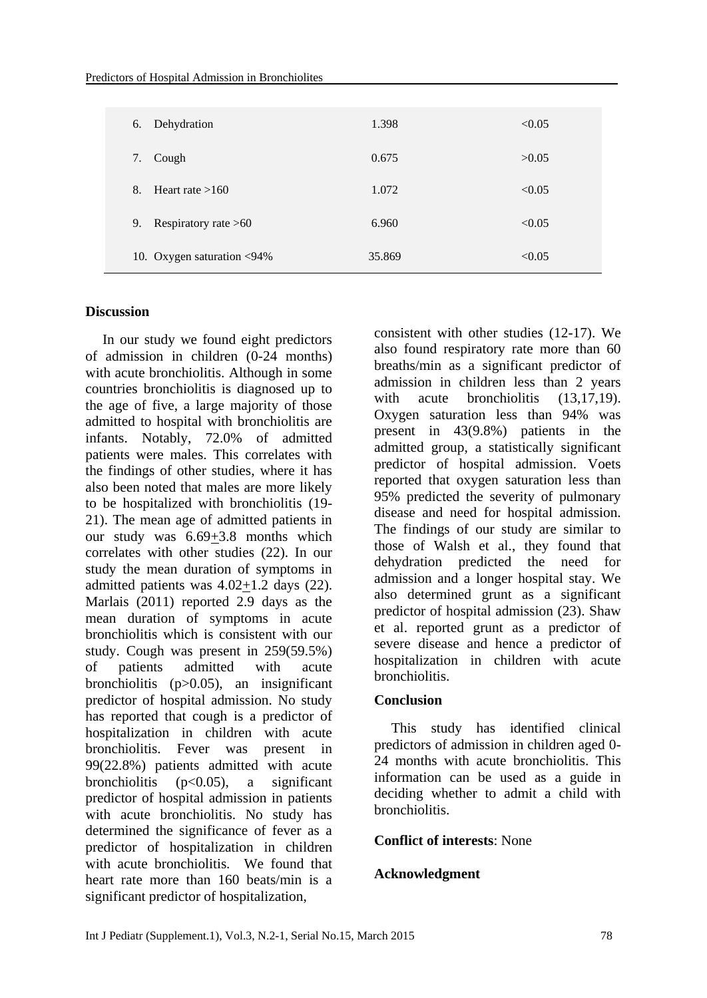| Dehydration<br>6.            | 1.398  | < 0.05 |
|------------------------------|--------|--------|
| 7.<br>Cough                  | 0.675  | >0.05  |
| Heart rate $>160$<br>8.      | 1.072  | < 0.05 |
| Respiratory rate $>60$<br>9. | 6.960  | < 0.05 |
| 10. Oxygen saturation <94%   | 35.869 | < 0.05 |

## **Discussion**

In our study we found eight predictors of admission in children (0-24 months) with acute bronchiolitis. Although in some countries bronchiolitis is diagnosed up to the age of five, a large majority of those admitted to hospital with bronchiolitis are infants. Notably, 72.0% of admitted patients were males. This correlates with the findings of other studies, where it has also been noted that males are more likely to be hospitalized with bronchiolitis (19- 21). The mean age of admitted patients in our study was 6.69+3.8 months which correlates with other studies (22). In our study the mean duration of symptoms in admitted patients was 4.02+1.2 days (22). Marlais (2011) reported 2.9 days as the mean duration of symptoms in acute bronchiolitis which is consistent with our study. Cough was present in 259(59.5%) of patients admitted with acute bronchiolitis (p>0.05), an insignificant predictor of hospital admission. No study has reported that cough is a predictor of hospitalization in children with acute bronchiolitis. Fever was present in 99(22.8%) patients admitted with acute bronchiolitis  $(p<0.05)$ , a significant predictor of hospital admission in patients with acute bronchiolitis. No study has determined the significance of fever as a predictor of hospitalization in children with acute bronchiolitis. We found that heart rate more than 160 beats/min is a significant predictor of hospitalization,

consistent with other studies (12-17). We also found respiratory rate more than 60 breaths/min as a significant predictor of admission in children less than 2 years with acute bronchiolitis (13,17,19). Oxygen saturation less than 94% was present in 43(9.8%) patients in the admitted group, a statistically significant predictor of hospital admission. Voets reported that oxygen saturation less than 95% predicted the severity of pulmonary disease and need for hospital admission. The findings of our study are similar to those of Walsh et al., they found that dehydration predicted the need for admission and a longer hospital stay. We also determined grunt as a significant predictor of hospital admission (23). Shaw et al. reported grunt as a predictor of severe disease and hence a predictor of hospitalization in children with acute bronchiolitis.

#### **Conclusion**

This study has identified clinical predictors of admission in children aged 0- 24 months with acute bronchiolitis. This information can be used as a guide in deciding whether to admit a child with bronchiolitis.

## **Conflict of interests**: None

#### **Acknowledgment**